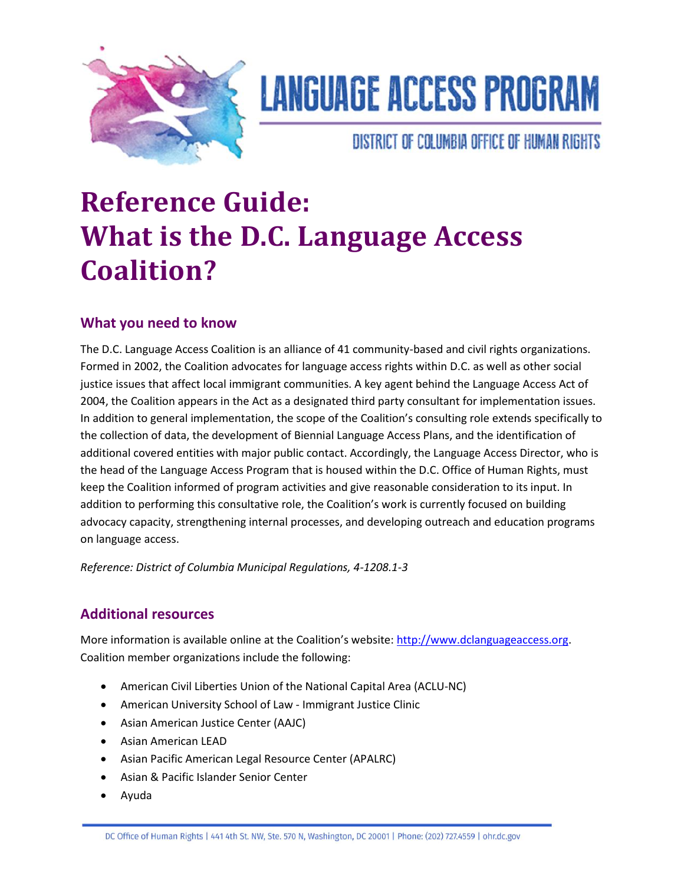

# **LANGUAGE ACCESS PROGRAM**

### DISTRICT OF COLUMBIA OFFICE OF HUMAN RIGHTS

## **Reference Guide: What is the D.C. Language Access Coalition?**

### **What you need to know**

The D.C. Language Access Coalition is an alliance of 41 community-based and civil rights organizations. Formed in 2002, the Coalition advocates for language access rights within D.C. as well as other social justice issues that affect local immigrant communities. A key agent behind the Language Access Act of 2004, the Coalition appears in the Act as a designated third party consultant for implementation issues. In addition to general implementation, the scope of the Coalition's consulting role extends specifically to the collection of data, the development of Biennial Language Access Plans, and the identification of additional covered entities with major public contact. Accordingly, the Language Access Director, who is the head of the Language Access Program that is housed within the D.C. Office of Human Rights, must keep the Coalition informed of program activities and give reasonable consideration to its input. In addition to performing this consultative role, the Coalition's work is currently focused on building advocacy capacity, strengthening internal processes, and developing outreach and education programs on language access.

*Reference: District of Columbia Municipal Regulations, 4-1208.1-3*

### **Additional resources**

More information is available online at the Coalition's website: [http://www.dclanguageaccess.org.](http://www.dclanguageaccess.org/) Coalition member organizations include the following:

- [American Civil Liberties Union of the National Capital Area \(ACLU-NC\)](http://aclu-nca.org/)
- [American University School of Law -](http://www.wcl.american.edu/clinical/immigrant.cfm) Immigrant Justice Clinic
- [Asian American Justice Center \(AAJC\)](http://www.advancingequality.org/)
- [Asian American LEAD](http://www.aalead.org/)
- [Asian Pacific American Legal Resource Center \(APALRC\)](http://www.apalrc.org/)
- [Asian & Pacific Islander Senior Center](http://www.emmausdc.org/api_center.html)
- [Ayuda](http://www.ayuda.com/)